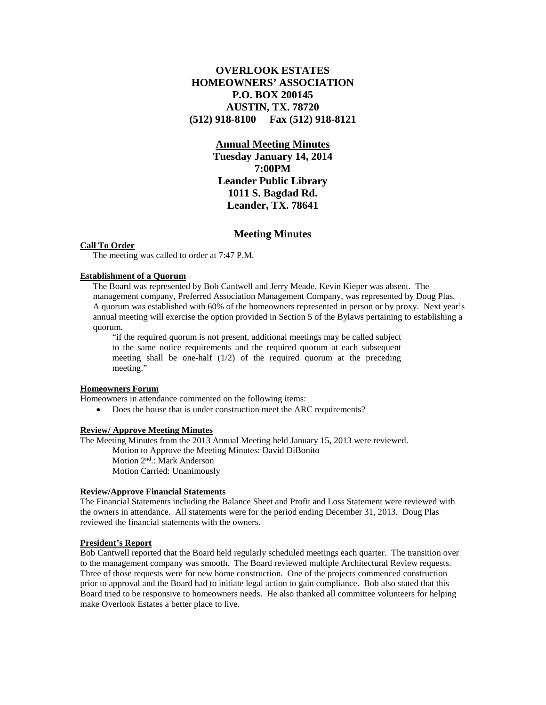# **OVERLOOK ESTATES HOMEOWNERS' ASSOCIATION P.O. BOX 200145 AUSTIN, TX. 78720 (512) 918-8100 Fax (512) 918-8121**

# **Annual Meeting Minutes**

**Tuesday January 14, 2014 7:00PM Leander Public Library 1011 S. Bagdad Rd. Leander, TX. 78641**

# **Meeting Minutes**

#### **Call To Order**

The meeting was called to order at 7:47 P.M.

#### **Establishment of a Quorum**

The Board was represented by Bob Cantwell and Jerry Meade. Kevin Kieper was absent. The management company, Preferred Association Management Company, was represented by Doug Plas. A quorum was established with 60% of the homeowners represented in person or by proxy. Next year's annual meeting will exercise the option provided in Section 5 of the Bylaws pertaining to establishing a quorum.

"if the required quorum is not present, additional meetings may be called subject to the same notice requirements and the required quorum at each subsequent meeting shall be one-half (1/2) of the required quorum at the preceding meeting."

## **Homeowners Forum**

Homeowners in attendance commented on the following items:

• Does the house that is under construction meet the ARC requirements?

### **Review/ Approve Meeting Minutes**

The Meeting Minutes from the 2013 Annual Meeting held January 15, 2013 were reviewed. Motion to Approve the Meeting Minutes: David DiBonito Motion 2nd.: Mark Anderson

Motion Carried: Unanimously

## **Review/Approve Financial Statements**

The Financial Statements including the Balance Sheet and Profit and Loss Statement were reviewed with the owners in attendance. All statements were for the period ending December 31, 2013. Doug Plas reviewed the financial statements with the owners.

#### **President's Report**

Bob Cantwell reported that the Board held regularly scheduled meetings each quarter. The transition over to the management company was smooth. The Board reviewed multiple Architectural Review requests. Three of those requests were for new home construction. One of the projects commenced construction prior to approval and the Board had to initiate legal action to gain compliance. Bob also stated that this Board tried to be responsive to homeowners needs. He also thanked all committee volunteers for helping make Overlook Estates a better place to live.